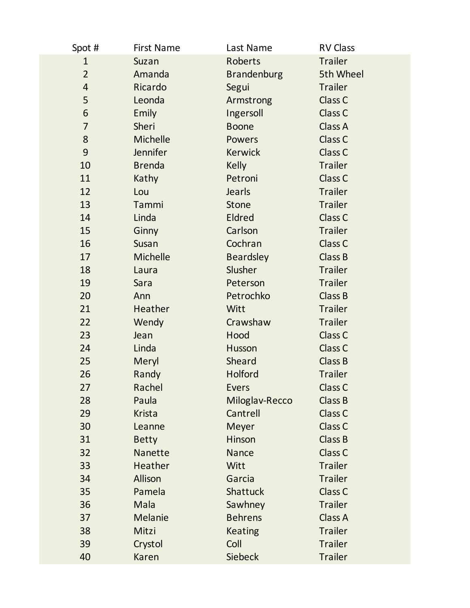| Spot #         | <b>First Name</b> | Last Name          | <b>RV Class</b>    |
|----------------|-------------------|--------------------|--------------------|
| $\mathbf{1}$   | Suzan             | Roberts            | <b>Trailer</b>     |
| $\overline{2}$ | Amanda            | <b>Brandenburg</b> | 5th Wheel          |
| $\overline{4}$ | Ricardo           | Segui              | <b>Trailer</b>     |
| 5              | Leonda            | Armstrong          | Class C            |
| 6              | Emily             | Ingersoll          | Class C            |
| $\overline{7}$ | Sheri             | <b>Boone</b>       | Class A            |
| 8              | <b>Michelle</b>   | <b>Powers</b>      | Class C            |
| 9              | <b>Jennifer</b>   | <b>Kerwick</b>     | Class C            |
| 10             | <b>Brenda</b>     | <b>Kelly</b>       | <b>Trailer</b>     |
| 11             | Kathy             | Petroni            | Class C            |
| 12             | Lou               | <b>Jearls</b>      | <b>Trailer</b>     |
| 13             | Tammi             | <b>Stone</b>       | <b>Trailer</b>     |
| 14             | Linda             | <b>Eldred</b>      | Class C            |
| 15             | Ginny             | Carlson            | <b>Trailer</b>     |
| 16             | Susan             | Cochran            | Class C            |
| 17             | Michelle          | <b>Beardsley</b>   | <b>Class B</b>     |
| 18             | Laura             | Slusher            | <b>Trailer</b>     |
| 19             | Sara              | Peterson           | <b>Trailer</b>     |
| 20             | Ann               | Petrochko          | Class B            |
| 21             | Heather           | Witt               | <b>Trailer</b>     |
| 22             | Wendy             | Crawshaw           | <b>Trailer</b>     |
| 23             | Jean              | Hood               | Class C            |
| 24             | Linda             | Husson             | Class <sub>C</sub> |
| 25             | Meryl             | Sheard             | Class B            |
| 26             | Randy             | <b>Holford</b>     | <b>Trailer</b>     |
| 27             | Rachel            | Evers              | Class <sub>C</sub> |
| 28             | Paula             | Miloglav-Recco     | <b>Class B</b>     |
| 29             | <b>Krista</b>     | Cantrell           | Class C            |
| 30             | Leanne            | Meyer              | Class <sub>C</sub> |
| 31             | <b>Betty</b>      | Hinson             | Class B            |
| 32             | Nanette           | <b>Nance</b>       | Class C            |
| 33             | <b>Heather</b>    | Witt               | <b>Trailer</b>     |
| 34             | Allison           | Garcia             | <b>Trailer</b>     |
| 35             | Pamela            | <b>Shattuck</b>    | Class C            |
| 36             | Mala              | Sawhney            | <b>Trailer</b>     |
| 37             | <b>Melanie</b>    | <b>Behrens</b>     | Class A            |
| 38             | Mitzi             | <b>Keating</b>     | <b>Trailer</b>     |
| 39             | Crystol           | Coll               | <b>Trailer</b>     |
| 40             | <b>Karen</b>      | <b>Siebeck</b>     | <b>Trailer</b>     |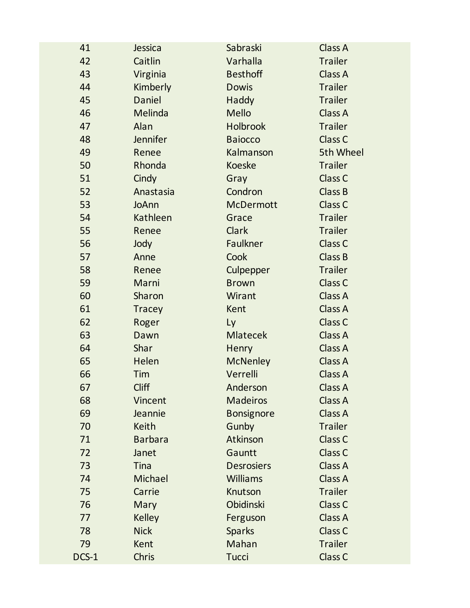| 41    | Jessica         | Sabraski          | Class A            |
|-------|-----------------|-------------------|--------------------|
| 42    | Caitlin         | Varhalla          | <b>Trailer</b>     |
| 43    | Virginia        | <b>Besthoff</b>   | Class A            |
| 44    | Kimberly        | <b>Dowis</b>      | <b>Trailer</b>     |
| 45    | Daniel          | Haddy             | <b>Trailer</b>     |
| 46    | Melinda         | <b>Mello</b>      | Class A            |
| 47    | Alan            | <b>Holbrook</b>   | <b>Trailer</b>     |
| 48    | <b>Jennifer</b> | <b>Baiocco</b>    | Class C            |
| 49    | Renee           | Kalmanson         | 5th Wheel          |
| 50    | Rhonda          | <b>Koeske</b>     | <b>Trailer</b>     |
| 51    | Cindy           | Gray              | Class C            |
| 52    | Anastasia       | Condron           | <b>Class B</b>     |
| 53    | JoAnn           | <b>McDermott</b>  | Class C            |
| 54    | Kathleen        | Grace             | <b>Trailer</b>     |
| 55    | Renee           | <b>Clark</b>      | <b>Trailer</b>     |
| 56    | Jody            | <b>Faulkner</b>   | Class C            |
| 57    | Anne            | Cook              | Class B            |
| 58    | Renee           | Culpepper         | <b>Trailer</b>     |
| 59    | Marni           | <b>Brown</b>      | Class <sub>C</sub> |
| 60    | Sharon          | Wirant            | Class A            |
| 61    | <b>Tracey</b>   | Kent              | Class A            |
| 62    | Roger           | Ly                | Class C            |
| 63    | Dawn            | <b>Mlatecek</b>   | Class A            |
| 64    | Shar            | Henry             | <b>Class A</b>     |
| 65    | Helen           | <b>McNenley</b>   | Class A            |
| 66    | Tim             | Verrelli          | <b>Class A</b>     |
| 67    | <b>Cliff</b>    | Anderson          | Class A            |
| 68    | Vincent         | <b>Madeiros</b>   | Class A            |
| 69    | Jeannie         | <b>Bonsignore</b> | Class A            |
| 70    | <b>Keith</b>    | Gunby             | <b>Trailer</b>     |
| 71    | <b>Barbara</b>  | Atkinson          | Class <sub>C</sub> |
| 72    | Janet           | Gauntt            | Class C            |
| 73    | <b>Tina</b>     | <b>Desrosiers</b> | Class A            |
| 74    | Michael         | <b>Williams</b>   | <b>Class A</b>     |
| 75    | Carrie          | Knutson           | <b>Trailer</b>     |
| 76    | Mary            | Obidinski         | Class C            |
| 77    | <b>Kelley</b>   | Ferguson          | Class A            |
| 78    | <b>Nick</b>     | <b>Sparks</b>     | Class C            |
| 79    | Kent            | Mahan             | <b>Trailer</b>     |
| DCS-1 | Chris           | <b>Tucci</b>      | Class C            |